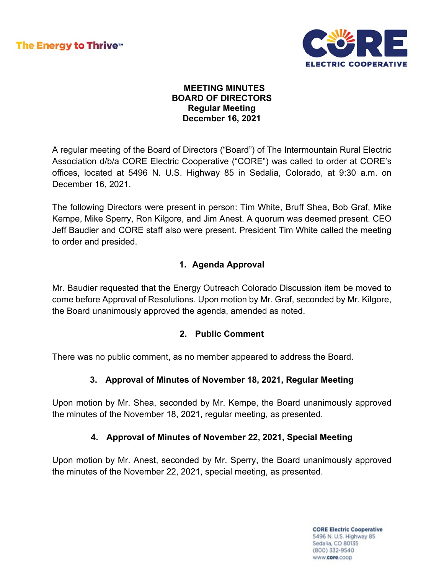

### **MEETING MINUTES BOARD OF DIRECTORS Regular Meeting December 16, 2021**

A regular meeting of the Board of Directors ("Board") of The Intermountain Rural Electric Association d/b/a CORE Electric Cooperative ("CORE") was called to order at CORE's offices, located at 5496 N. U.S. Highway 85 in Sedalia, Colorado, at 9:30 a.m. on December 16, 2021.

The following Directors were present in person: Tim White, Bruff Shea, Bob Graf, Mike Kempe, Mike Sperry, Ron Kilgore, and Jim Anest. A quorum was deemed present. CEO Jeff Baudier and CORE staff also were present. President Tim White called the meeting to order and presided.

# **1. Agenda Approval**

Mr. Baudier requested that the Energy Outreach Colorado Discussion item be moved to come before Approval of Resolutions. Upon motion by Mr. Graf, seconded by Mr. Kilgore, the Board unanimously approved the agenda, amended as noted.

## **2. Public Comment**

There was no public comment, as no member appeared to address the Board.

## **3. Approval of Minutes of November 18, 2021, Regular Meeting**

Upon motion by Mr. Shea, seconded by Mr. Kempe, the Board unanimously approved the minutes of the November 18, 2021, regular meeting, as presented.

## **4. Approval of Minutes of November 22, 2021, Special Meeting**

Upon motion by Mr. Anest, seconded by Mr. Sperry, the Board unanimously approved the minutes of the November 22, 2021, special meeting, as presented.

> **CORE Electric Cooperative** 5496 N. U.S. Highway 85 Sedalia, CO 80135 (800) 332-9540 www.core.coop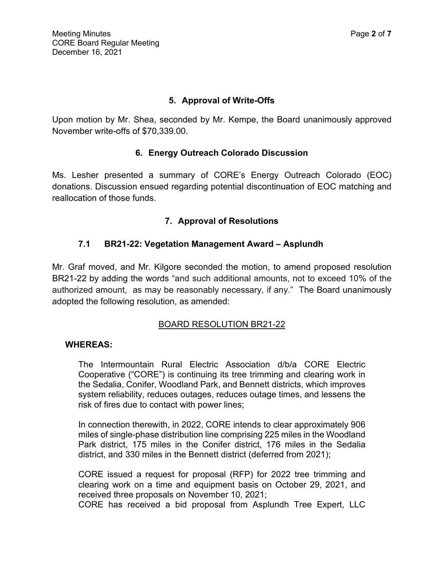### **5. Approval of Write-Offs**

Upon motion by Mr. Shea, seconded by Mr. Kempe, the Board unanimously approved November write-offs of \$70,339.00.

### **6. Energy Outreach Colorado Discussion**

Ms. Lesher presented a summary of CORE's Energy Outreach Colorado (EOC) donations. Discussion ensued regarding potential discontinuation of EOC matching and reallocation of those funds.

## **7. Approval of Resolutions**

### **7.1 BR21-22: Vegetation Management Award – Asplundh**

Mr. Graf moved, and Mr. Kilgore seconded the motion, to amend proposed resolution BR21-22 by adding the words "and such additional amounts, not to exceed 10% of the authorized amount, as may be reasonably necessary, if any." The Board unanimously adopted the following resolution, as amended:

## BOARD RESOLUTION BR21-22

#### **WHEREAS:**

The Intermountain Rural Electric Association d/b/a CORE Electric Cooperative ("CORE") is continuing its tree trimming and clearing work in the Sedalia, Conifer, Woodland Park, and Bennett districts, which improves system reliability, reduces outages, reduces outage times, and lessens the risk of fires due to contact with power lines;

In connection therewith, in 2022, CORE intends to clear approximately 906 miles of single-phase distribution line comprising 225 miles in the Woodland Park district, 175 miles in the Conifer district, 176 miles in the Sedalia district, and 330 miles in the Bennett district (deferred from 2021);

CORE issued a request for proposal (RFP) for 2022 tree trimming and clearing work on a time and equipment basis on October 29, 2021, and received three proposals on November 10, 2021;

CORE has received a bid proposal from Asplundh Tree Expert, LLC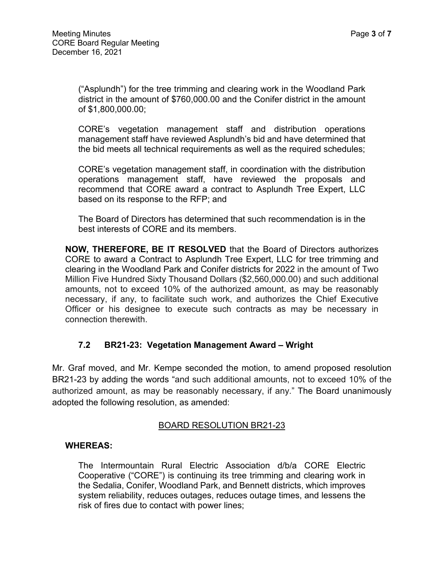("Asplundh") for the tree trimming and clearing work in the Woodland Park district in the amount of \$760,000.00 and the Conifer district in the amount of \$1,800,000.00;

CORE's vegetation management staff and distribution operations management staff have reviewed Asplundh's bid and have determined that the bid meets all technical requirements as well as the required schedules;

CORE's vegetation management staff, in coordination with the distribution operations management staff, have reviewed the proposals and recommend that CORE award a contract to Asplundh Tree Expert, LLC based on its response to the RFP; and

The Board of Directors has determined that such recommendation is in the best interests of CORE and its members.

**NOW, THEREFORE, BE IT RESOLVED** that the Board of Directors authorizes CORE to award a Contract to Asplundh Tree Expert, LLC for tree trimming and clearing in the Woodland Park and Conifer districts for 2022 in the amount of Two Million Five Hundred Sixty Thousand Dollars (\$2,560,000.00) and such additional amounts, not to exceed 10% of the authorized amount, as may be reasonably necessary, if any, to facilitate such work, and authorizes the Chief Executive Officer or his designee to execute such contracts as may be necessary in connection therewith.

## **7.2 BR21-23: Vegetation Management Award – Wright**

Mr. Graf moved, and Mr. Kempe seconded the motion, to amend proposed resolution BR21-23 by adding the words "and such additional amounts, not to exceed 10% of the authorized amount, as may be reasonably necessary, if any." The Board unanimously adopted the following resolution, as amended:

#### BOARD RESOLUTION BR21-23

#### **WHEREAS:**

The Intermountain Rural Electric Association d/b/a CORE Electric Cooperative ("CORE") is continuing its tree trimming and clearing work in the Sedalia, Conifer, Woodland Park, and Bennett districts, which improves system reliability, reduces outages, reduces outage times, and lessens the risk of fires due to contact with power lines;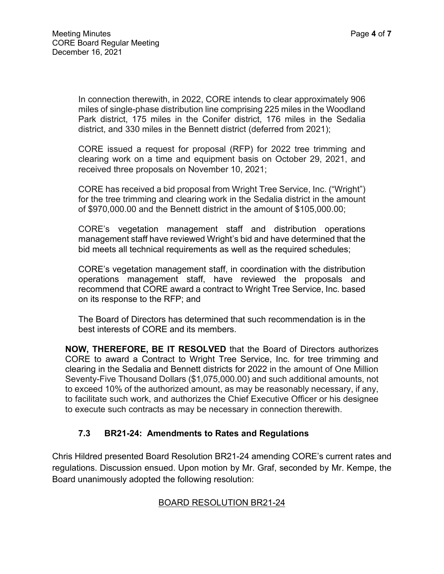In connection therewith, in 2022, CORE intends to clear approximately 906 miles of single-phase distribution line comprising 225 miles in the Woodland Park district, 175 miles in the Conifer district, 176 miles in the Sedalia district, and 330 miles in the Bennett district (deferred from 2021);

CORE issued a request for proposal (RFP) for 2022 tree trimming and clearing work on a time and equipment basis on October 29, 2021, and received three proposals on November 10, 2021;

CORE has received a bid proposal from Wright Tree Service, Inc. ("Wright") for the tree trimming and clearing work in the Sedalia district in the amount of \$970,000.00 and the Bennett district in the amount of \$105,000.00;

CORE's vegetation management staff and distribution operations management staff have reviewed Wright's bid and have determined that the bid meets all technical requirements as well as the required schedules;

CORE's vegetation management staff, in coordination with the distribution operations management staff, have reviewed the proposals and recommend that CORE award a contract to Wright Tree Service, Inc. based on its response to the RFP; and

The Board of Directors has determined that such recommendation is in the best interests of CORE and its members.

**NOW, THEREFORE, BE IT RESOLVED** that the Board of Directors authorizes CORE to award a Contract to Wright Tree Service, Inc. for tree trimming and clearing in the Sedalia and Bennett districts for 2022 in the amount of One Million Seventy-Five Thousand Dollars (\$1,075,000.00) and such additional amounts, not to exceed 10% of the authorized amount, as may be reasonably necessary, if any, to facilitate such work, and authorizes the Chief Executive Officer or his designee to execute such contracts as may be necessary in connection therewith.

## **7.3 BR21-24: Amendments to Rates and Regulations**

Chris Hildred presented Board Resolution BR21-24 amending CORE's current rates and regulations. Discussion ensued. Upon motion by Mr. Graf, seconded by Mr. Kempe, the Board unanimously adopted the following resolution:

#### BOARD RESOLUTION BR21-24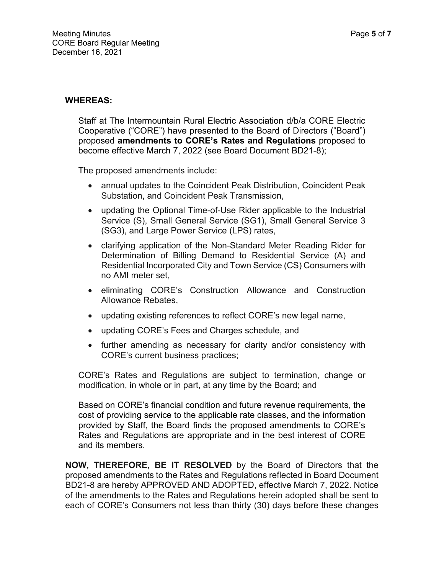### **WHEREAS:**

Staff at The Intermountain Rural Electric Association d/b/a CORE Electric Cooperative ("CORE") have presented to the Board of Directors ("Board") proposed **amendments to CORE's Rates and Regulations** proposed to become effective March 7, 2022 (see Board Document BD21-8);

The proposed amendments include:

- annual updates to the Coincident Peak Distribution, Coincident Peak Substation, and Coincident Peak Transmission,
- updating the Optional Time-of-Use Rider applicable to the Industrial Service (S), Small General Service (SG1), Small General Service 3 (SG3), and Large Power Service (LPS) rates,
- clarifying application of the Non-Standard Meter Reading Rider for Determination of Billing Demand to Residential Service (A) and Residential Incorporated City and Town Service (CS) Consumers with no AMI meter set,
- eliminating CORE's Construction Allowance and Construction Allowance Rebates,
- updating existing references to reflect CORE's new legal name,
- updating CORE's Fees and Charges schedule, and
- further amending as necessary for clarity and/or consistency with CORE's current business practices;

CORE's Rates and Regulations are subject to termination, change or modification, in whole or in part, at any time by the Board; and

Based on CORE's financial condition and future revenue requirements, the cost of providing service to the applicable rate classes, and the information provided by Staff, the Board finds the proposed amendments to CORE's Rates and Regulations are appropriate and in the best interest of CORE and its members.

**NOW, THEREFORE, BE IT RESOLVED** by the Board of Directors that the proposed amendments to the Rates and Regulations reflected in Board Document BD21-8 are hereby APPROVED AND ADOPTED, effective March 7, 2022. Notice of the amendments to the Rates and Regulations herein adopted shall be sent to each of CORE's Consumers not less than thirty (30) days before these changes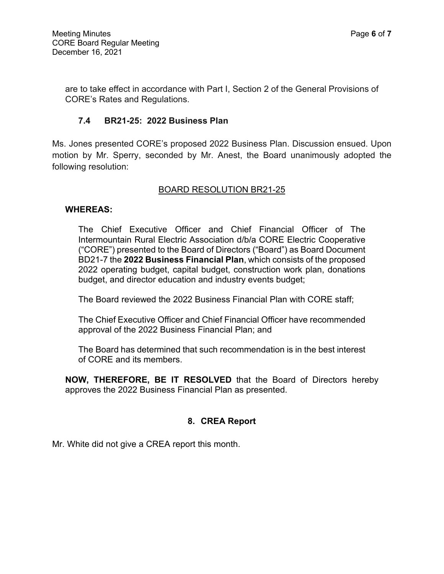are to take effect in accordance with Part I, Section 2 of the General Provisions of CORE's Rates and Regulations.

### **7.4 BR21-25: 2022 Business Plan**

Ms. Jones presented CORE's proposed 2022 Business Plan. Discussion ensued. Upon motion by Mr. Sperry, seconded by Mr. Anest, the Board unanimously adopted the following resolution:

#### BOARD RESOLUTION BR21-25

#### **WHEREAS:**

The Chief Executive Officer and Chief Financial Officer of The Intermountain Rural Electric Association d/b/a CORE Electric Cooperative ("CORE") presented to the Board of Directors ("Board") as Board Document BD21-7 the **2022 Business Financial Plan**, which consists of the proposed 2022 operating budget, capital budget, construction work plan, donations budget, and director education and industry events budget;

The Board reviewed the 2022 Business Financial Plan with CORE staff;

The Chief Executive Officer and Chief Financial Officer have recommended approval of the 2022 Business Financial Plan; and

The Board has determined that such recommendation is in the best interest of CORE and its members.

**NOW, THEREFORE, BE IT RESOLVED** that the Board of Directors hereby approves the 2022 Business Financial Plan as presented.

#### **8. CREA Report**

Mr. White did not give a CREA report this month.